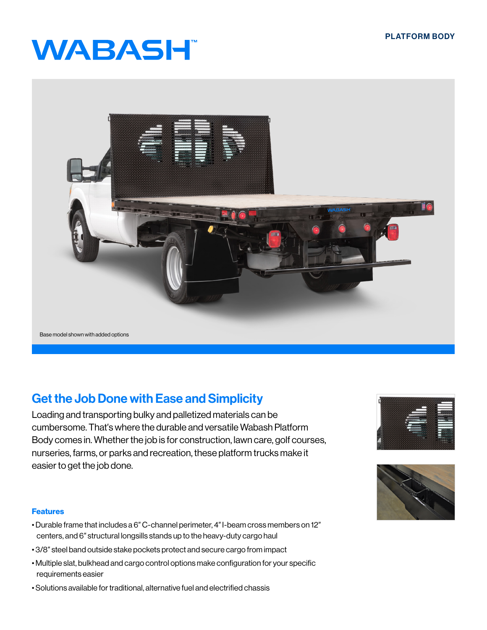# **WABASH**



## Get the Job Done with Ease and Simplicity

Loading and transporting bulky and palletized materials can be cumbersome. That′s where the durable and versatile Wabash Platform Body comes in. Whether the job is for construction, lawn care, golf courses, nurseries, farms, or parks and recreation, these platform trucks make it easier to get the job done.

#### Features

- Durable frame that includes a 6″ C-channel perimeter, 4″ I-beam cross members on 12″ centers, and 6″ structural longsills stands up to the heavy-duty cargo haul
- 3/8″ steel band outside stake pockets protect and secure cargo from impact
- Multiple slat, bulkhead and cargo control options make configuration for your specific requirements easier
- Solutions available for traditional, alternative fuel and electrified chassis